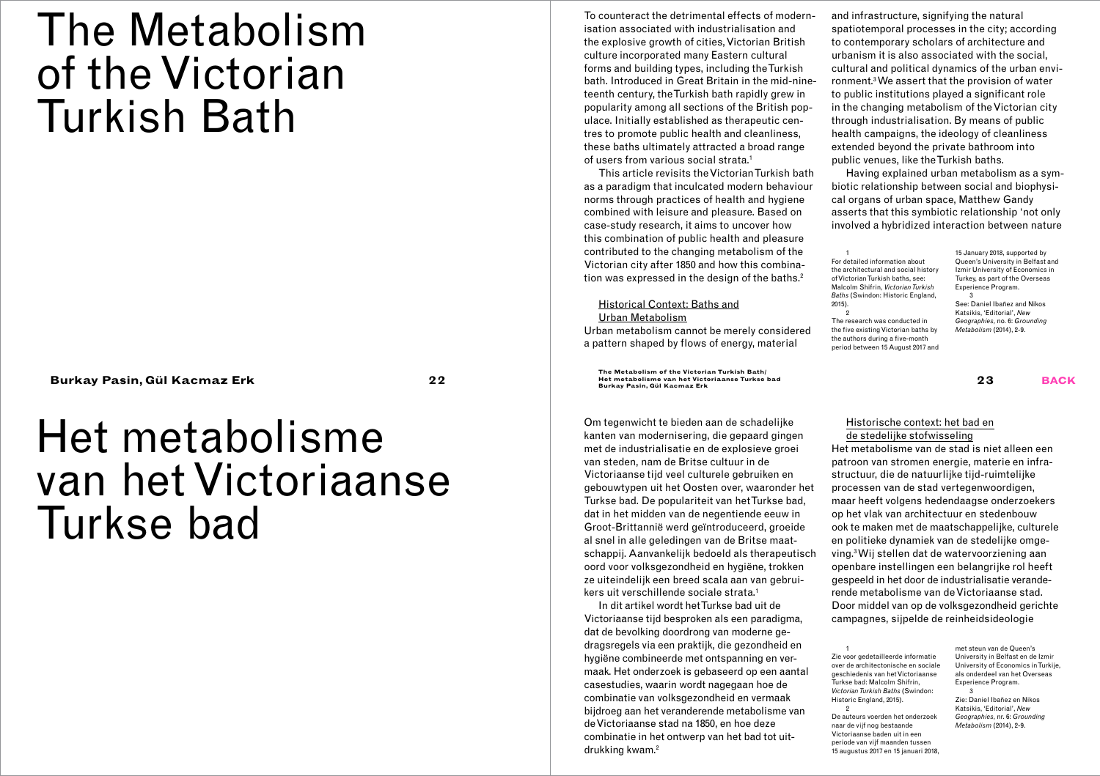# The Metabolism of the Victorian Turkish Bath

# Het metabolisme van het Victoriaanse Turkse bad

To counteract the detrimental effects of modernisation associated with industrialisation and the explosive growth of cities, Victorian British culture incorporated many Eastern cultural forms and building types, including the Turkish bath. Introduced in Great Britain in the mid-nineteenth century, the Turkish bath rapidly grew in popularity among all sections of the British populace. Initially established as therapeutic centres to promote public health and cleanliness, these baths ultimately attracted a broad range of users from various social strata.1

This article revisits the Victorian Turkish bath as a paradigm that inculcated modern behaviour norms through practices of health and hygiene combined with leisure and pleasure. Based on case-study research, it aims to uncover how this combination of public health and pleasure contributed to the changing metabolism of the Victorian city after 1850 and how this combination was expressed in the design of the baths.<sup>2</sup>

### Historical Context: Baths and Urban Metabolism

Urban metabolism cannot be merely considered a pattern shaped by flows of energy, material

**The Metabolism of the Victorian Turkish Bath/ Het metabolisme van het Victoriaanse Turkse bad Burkay Pasin, Gül Kacmaz Erk 22 Burkay Pasin, Gül Kacmaz Erk 23 back**

> Om tegenwicht te bieden aan de schadelijke kanten van modernisering, die gepaard gingen met de industrialisatie en de explosieve groei van steden, nam de Britse cultuur in de Victoriaanse tijd veel culturele gebruiken en gebouwtypen uit het Oosten over, waaronder het Turkse bad. De populariteit van het Turkse bad, dat in het midden van de negentiende eeuw in Groot-Brittannië werd geïntroduceerd, groeide al snel in alle geledingen van de Britse maatschappij. Aanvankelijk bedoeld als therapeutisch oord voor volksgezondheid en hygiëne, trokken ze uiteindelijk een breed scala aan van gebruikers uit verschillende sociale strata.1

In dit artikel wordt het Turkse bad uit de Victoriaanse tijd besproken als een paradigma, dat de bevolking doordrong van moderne gedragsregels via een praktijk, die gezondheid en hygiëne combineerde met ontspanning en vermaak. Het onderzoek is gebaseerd op een aantal casestudies, waarin wordt nagegaan hoe de combinatie van volksgezondheid en vermaak bijdroeg aan het veranderende metabolisme van de Victoriaanse stad na 1850, en hoe deze combinatie in het ontwerp van het bad tot uitdrukking kwam.2

and infrastructure, signifying the natural spatiotemporal processes in the city; according to contemporary scholars of architecture and urbanism it is also associated with the social, cultural and political dynamics of the urban environment.3 We assert that the provision of water to public institutions played a significant role in the changing metabolism of the Victorian city through industrialisation. By means of public health campaigns, the ideology of cleanliness extended beyond the private bathroom into public venues, like the Turkish baths.

Having explained urban metabolism as a symbiotic relationship between social and biophysical organs of urban space, Matthew Gandy asserts that this symbiotic relationship 'not only involved a hybridized interaction between nature

1 For detailed information about the architectural and social history of Victorian Turkish baths, see: Malcolm Shifrin, *Victorian Turkish Baths* (Swindon: Historic England, 2015). 2 The research was conducted in the five existing Victorian baths by the authors during a five-month period between 15 August 2017 and

15 January 2018, supported by Queen's University in Belfast and Izmir University of Economics in Turkey, as part of the Overseas Experience Program. 3 See: Daniel Ibañez and Nikos Katsikis, 'Editorial', *New Geographies*, no. 6: *Grounding Metabolism* (2014), 2-9.

### Historische context: het bad en de stedelijke stofwisseling

Het metabolisme van de stad is niet alleen een patroon van stromen energie, materie en infrastructuur, die de natuurlijke tijd-ruimtelijke processen van de stad vertegenwoordigen, maar heeft volgens hedendaagse onderzoekers op het vlak van architectuur en stedenbouw ook te maken met de maatschappelijke, culturele en politieke dynamiek van de stedelijke omgeving.3 Wij stellen dat de watervoorziening aan openbare instellingen een belangrijke rol heeft gespeeld in het door de industrialisatie veranderende metabolisme van de Victoriaanse stad. Door middel van op de volksgezondheid gerichte campagnes, sijpelde de reinheidsideologie

1 Zie voor gedetailleerde informatie over de architectonische en sociale geschiedenis van het Victoriaanse Turkse bad: Malcolm Shifrin, *Victorian Turkish Baths* (Swindon: Historic England, 2015). 2

De auteurs voerden het onderzoek naar de vijf nog bestaande Victoriaanse baden uit in een periode van vijf maanden tussen 15 augustus 2017 en 15 januari 2018,

met steun van de Queen's University in Belfast en de Izmir University of Economics in Turkije, als onderdeel van het Overseas Experience Program.

3 Zie: Daniel Ibañez en Nikos Katsikis, 'Editorial', *New Geographies*, nr. 6: *Grounding Metabolism* (2014), 2-9.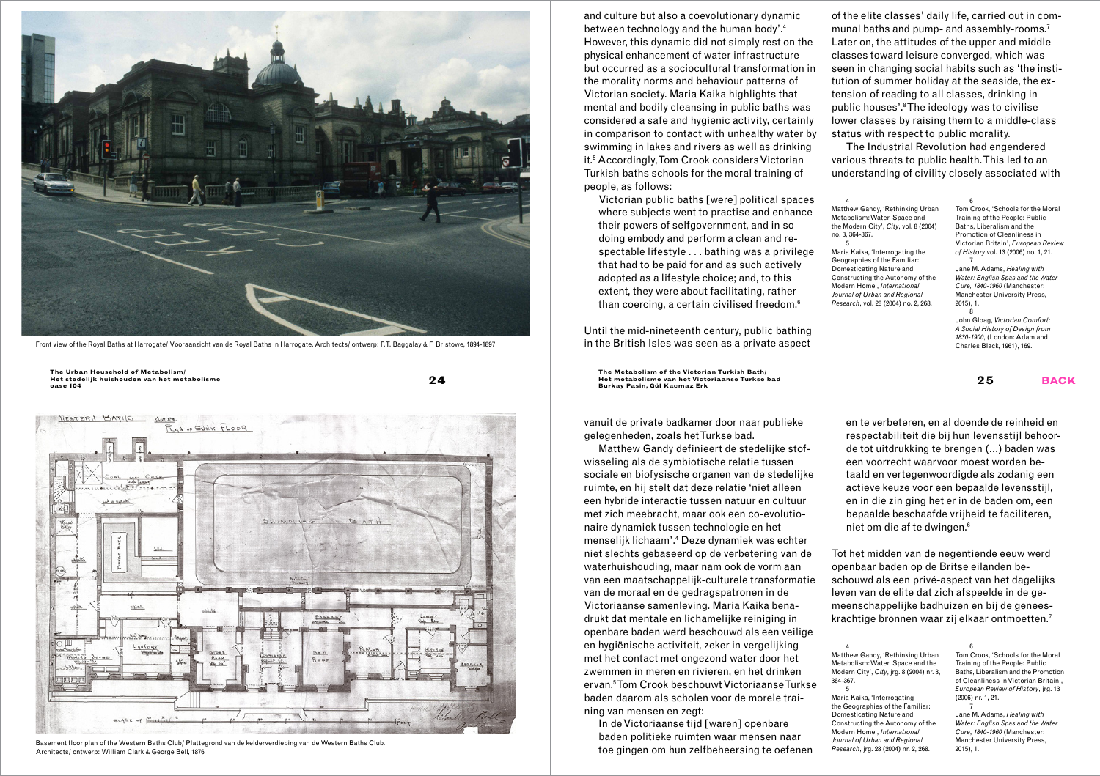

Front view of the Royal Baths at Harrogate/ Vooraanzicht van de Royal Baths in Harrogate. Architects/ ontwerp: F.T. Baggalay & F. Bristowe, 1894-1897 in the British Isles was seen as a private aspect



2015), Basement floor plan of the Western Baths Club/ Plattegrond van de kelderverdieping van de Western Baths Club.<br>2015), 1. Basement Mulliam Clark & George Bell 1876, 2004) nr. 2, 268. 2015), 1. Architects Contward (wil Architects/ ontwerp: William Clark & George Bell, 1876

and culture but also a coevolutionary dynamic between technology and the human body'.4 However, this dynamic did not simply rest on the physical enhancement of water infrastructure but occurred as a sociocultural transformation in the morality norms and behaviour patterns of Victorian society. Maria Kaika highlights that mental and bodily cleansing in public baths was considered a safe and hygienic activity, certainly in comparison to contact with unhealthy water by swimming in lakes and rivers as well as drinking it.5 Accordingly, Tom Crook considers Victorian Turkish baths schools for the moral training of people, as follows:

vanuit de private badkamer door naar publieke gelegenheden, zoals het Turkse bad.

Matthew Gandy definieert de stedelijke stofwisseling als de symbiotische relatie tussen sociale en biofysische organen van de stedelijke ruimte, en hij stelt dat deze relatie 'niet alleen een hybride interactie tussen natuur en cultuur met zich meebracht, maar ook een co-evolutionaire dynamiek tussen technologie en het menselijk lichaam'.4 Deze dynamiek was echter niet slechts gebaseerd op de verbetering van de waterhuishouding, maar nam ook de vorm aan van een maatschappelijk-culturele transformatie van de moraal en de gedragspatronen in de Victoriaanse samenleving. Maria Kaika benadrukt dat mentale en lichamelijke reiniging in openbare baden werd beschouwd als een veilige en hygiënische activiteit, zeker in vergelijking met het contact met ongezond water door het zwemmen in meren en rivieren, en het drinken ervan.5 Tom Crook beschouwt Victoriaanse Turkse baden daarom als scholen voor de morele training van mensen en zegt:

In de Victoriaanse tijd [waren] openbare baden politieke ruimten waar mensen naar toe gingen om hun zelfbeheersing te oefenen

of the elite classes' daily life, carried out in communal baths and pump- and assembly-rooms.<sup>7</sup> Later on, the attitudes of the upper and middle classes toward leisure converged, which was seen in changing social habits such as 'the institution of summer holiday at the seaside, the extension of reading to all classes, drinking in public houses'.8 The ideology was to civilise lower classes by raising them to a middle-class status with respect to public morality.

The Industrial Revolution had engendered various threats to public health. This led to an understanding of civility closely associated with

en te verbeteren, en al doende de reinheid en respectabiliteit die bij hun levensstijl behoorde tot uitdrukking te brengen (…) baden was een voorrecht waarvoor moest worden betaald en vertegenwoordigde als zodanig een actieve keuze voor een bepaalde levensstijl, en in die zin ging het er in de baden om, een bepaalde beschaafde vrijheid te faciliteren, niet om die af te dwingen.6

Tot het midden van de negentiende eeuw werd openbaar baden op de Britse eilanden beschouwd als een privé-aspect van het dagelijks leven van de elite dat zich afspeelde in de gemeenschappelijke badhuizen en bij de geneeskrachtige bronnen waar zij elkaar ontmoetten.7

4 Matthew Gandy, 'Rethinking Urban Metabolism: Water, Space and the Modern City', *City*, jrg. 8 (2004) nr. 3, 364-367. 5

Maria Kaika, 'Interrogating

Domesticating Nature and

Modern Home', *International Journal of Urban and Regional Research*, jrg. 28 (2004) nr. 2, 268.

the Geographies of the Familiar: Constructing the Autonomy of the of Cleanliness in Victorian Britain', *European Review of History*, jrg. 13 (2006) nr. 1, 21. 7 Jane M. Adams, *Healing with* 

*Water: English Spas and the Water Cure*, *1840-1960* (Manchester: Manchester University Press,

6 Tom Crook, 'Schools for the Moral Training of the People: Public Baths, Liberalism and the Promotion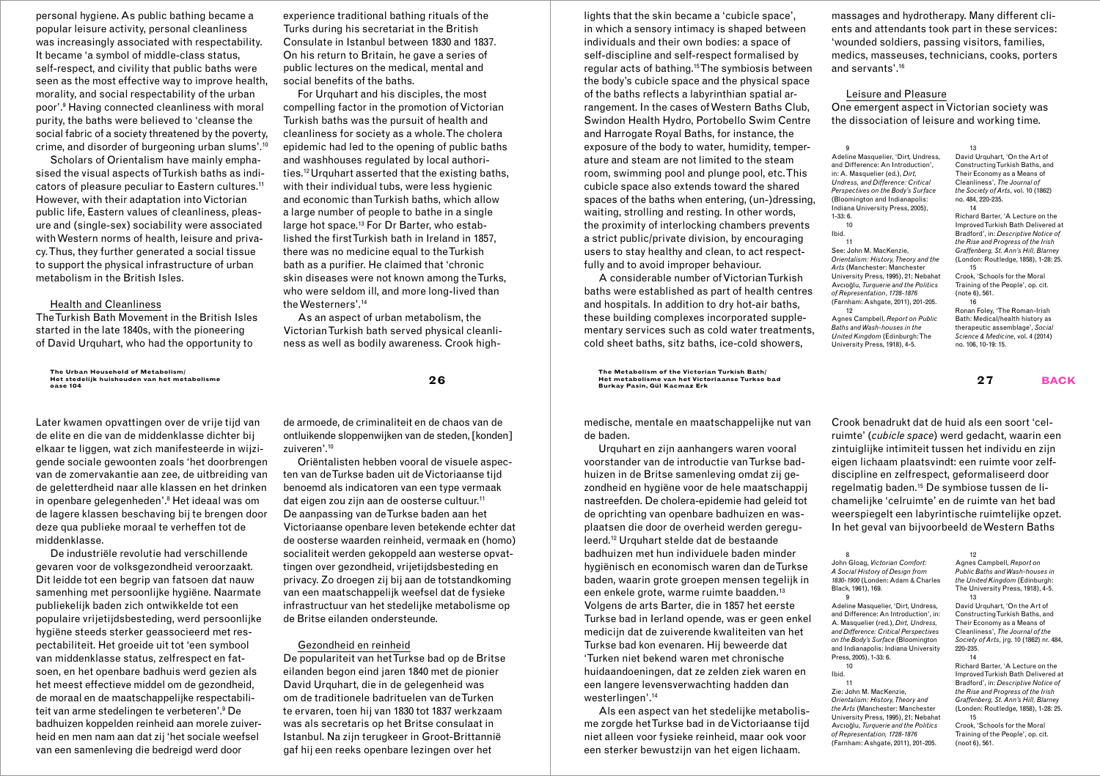personal hygiene. As public bathing became a popular leisure activity, personal cleanliness was increasingly associated with respectability. It became 'a symbol of middle-class status, self-respect, and civility that public baths were seen as the most effective way to improve health, morality, and social respectability of the urban poor'.9 Having connected cleanliness with moral purity, the baths were believed to 'cleanse the social fabric of a society threatened by the poverty, crime, and disorder of burgeoning urban slums'.<sup>10</sup>

Scholars of Orientalism have mainly emphasised the visual aspects of Turkish baths as indicators of pleasure peculiar to Eastern cultures.11 However, with their adaptation into Victorian public life, Eastern values of cleanliness, pleasure and (single-sex) sociability were associated with Western norms of health, leisure and privacy. Thus, they further generated a social tissue to support the physical infrastructure of urban metabolism in the British Isles.

#### Health and Cleanliness

The Turkish Bath Movement in the British Isles started in the late 1840s, with the pioneering of David Urquhart, who had the opportunity to

**The Urban Household of Metabolism/ Het stedelijk huishouden van het metabolisme oase 104 27 back**

Later kwamen opvattingen over de vrije tijd van de elite en die van de middenklasse dichter bij elkaar te liggen, wat zich manifesteerde in wijzigende sociale gewoonten zoals 'het doorbrengen van de zomervakantie aan zee, de uitbreiding van de geletterdheid naar alle klassen en het drinken in openbare gelegenheden'.8 Het ideaal was om de lagere klassen beschaving bij te brengen door deze qua publieke moraal te verheffen tot de middenklasse.

De industriële revolutie had verschillende gevaren voor de volksgezondheid veroorzaakt. Dit leidde tot een begrip van fatsoen dat nauw samenhing met persoonlijke hygiëne. Naarmate publiekelijk baden zich ontwikkelde tot een populaire vrijetijdsbesteding, werd persoonlijke hygiëne steeds sterker geassocieerd met respectabiliteit. Het groeide uit tot 'een symbool van middenklasse status, zelfrespect en fatsoen, en het openbare badhuis werd gezien als het meest effectieve middel om de gezondheid, de moraal en de maatschappelijke respectabiliteit van arme stedelingen te verbeteren'.9 De badhuizen koppelden reinheid aan morele zuiverheid en men nam aan dat zij 'het sociale weefsel van een samenleving die bedreigd werd door

experience traditional bathing rituals of the Turks during his secretariat in the British Consulate in Istanbul between 1830 and 1837. On his return to Britain, he gave a series of public lectures on the medical, mental and social benefits of the baths.

For Urquhart and his disciples, the most compelling factor in the promotion of Victorian Turkish baths was the pursuit of health and cleanliness for society as a whole. The cholera epidemic had led to the opening of public baths and washhouses regulated by local authorities.12 Urquhart asserted that the existing baths, with their individual tubs, were less hygienic and economic than Turkish baths, which allow a large number of people to bathe in a single large hot space.13 For Dr Barter, who established the first Turkish bath in Ireland in 1857, there was no medicine equal to the Turkish bath as a purifier. He claimed that 'chronic skin diseases were not known among the Turks, who were seldom ill, and more long-lived than the Westerners'.14

As an aspect of urban metabolism, the Victorian Turkish bath served physical cleanliness as well as bodily awareness. Crook high-

de armoede, de criminaliteit en de chaos van de ontluikende sloppenwijken van de steden, [konden] zuiveren'.10

Oriëntalisten hebben vooral de visuele aspecten van de Turkse baden uit de Victoriaanse tijd benoemd als indicatoren van een type vermaak dat eigen zou zijn aan de oosterse cultuur.<sup>11</sup> De aanpassing van de Turkse baden aan het Victoriaanse openbare leven betekende echter dat de oosterse waarden reinheid, vermaak en (homo) socialiteit werden gekoppeld aan westerse opvattingen over gezondheid, vrijetijdsbesteding en privacy. Zo droegen zij bij aan de totstandkoming van een maatschappelijk weefsel dat de fysieke infrastructuur van het stedelijke metabolisme op de Britse eilanden ondersteunde.

### Gezondheid en reinheid

De populariteit van het Turkse bad op de Britse eilanden begon eind jaren 1840 met de pionier David Urquhart, die in de gelegenheid was om de traditionele badrituelen van de Turken te ervaren, toen hij van 1830 tot 1837 werkzaam was als secretaris op het Britse consulaat in Istanbul. Na zijn terugkeer in Groot-Brittannië gaf hij een reeks openbare lezingen over het

lights that the skin became a 'cubicle space', in which a sensory intimacy is shaped between individuals and their own bodies: a space of self-discipline and self-respect formalised by regular acts of bathing.15 The symbiosis between the body's cubicle space and the physical space of the baths reflects a [labyrinthian](https://tureng.com/tr/turkce-ingilizce/labyrinthian) spatial arrangement. In the cases of Western Baths Club, Swindon Health Hydro, Portobello Swim Centre and Harrogate Royal Baths, for instance, the exposure of the body to water, humidity, temperature and steam are not limited to the steam room, swimming pool and plunge pool, etc. This cubicle space also extends toward the shared spaces of the baths when entering, (un-)dressing, waiting, strolling and resting. In other words, the proximity of interlocking chambers prevents a strict public/private division, by encouraging users to stay healthy and clean, to act respectfully and to avoid improper behaviour.

A considerable number of Victorian Turkish baths were established as part of health centres and hospitals. In addition to dry hot-air baths, these building complexes incorporated supplementary services such as cold water treatments, cold sheet baths, sitz baths, ice-cold showers,

**26 The Metabolism of the Victorian Turkish Bath/**<br>Het metabolisme van het Victoriaanse Turkse bad<br>**Rurksy Pasin Gül Kacmaz Erk Burkay Pasin, Gül Kacmaz Erk**

> medische, mentale en maatschappelijke nut van de baden.

Urquhart en zijn aanhangers waren vooral voorstander van de introductie van Turkse badhuizen in de Britse samenleving omdat zij gezondheid en hygiëne voor de hele maatschappij nastreefden. De cholera-epidemie had geleid tot de oprichting van openbare badhuizen en wasplaatsen die door de overheid werden gereguleerd.12 Urquhart stelde dat de bestaande badhuizen met hun individuele baden minder hygiënisch en economisch waren dan de Turkse baden, waarin grote groepen mensen tegelijk in een enkele grote, warme ruimte baadden.13 Volgens de arts Barter, die in 1857 het eerste Turkse bad in Ierland opende, was er geen enkel medicijn dat de zuiverende kwaliteiten van het Turkse bad kon evenaren. Hij beweerde dat 'Turken niet bekend waren met chronische huidaandoeningen, dat ze zelden ziek waren en een langere levensverwachting hadden dan westerlingen'.14

Als een aspect van het stedelijke metabolisme zorgde het Turkse bad in de Victoriaanse tijd niet alleen voor fysieke reinheid, maar ook voor een sterker bewustzijn van het eigen lichaam.

massages and hydrotherapy. Many different clients and attendants took part in these services: 'wounded soldiers, passing visitors, families, medics, masseuses, technicians, cooks, porters and servants'.16

## Leisure and Pleasure

One emergent aspect in Victorian society was the dissociation of leisure and working time.

 $\overline{9}$ Adeline Masquelier, 'Dirt, Undress, and Difference: An Introduction', in: A. Masquelier (ed.), *Dirt, Undress, and Difference: Critical Perspectives on the Body's Surface* (Bloomington and Indianapolis: Indiana University Press, 2005), 1-33: 6.  $10^{-1}$ Ibid.  $11$ See: John M. MacKenzie, *Orientalism: History, Theory and the Arts* (Manchester: Manchester

12

*United Kingdom* (Edinburgh: The University Press, 1918), 4-5.

13 David Urquhart, 'On the Art of Constructing Turkish Baths, and Their Economy as a Means of Cleanliness', *The Journal of the Society of Arts*, vol. 10 (1862) no. 484, 220-235. 14

University Press, 1995), 21; Nebahat Avcıoğlu, *Turquerie and the Politics of Representation*, *1728-1876* (Farnham: Ashgate, 2011), 201-205. Agnes Campbell, *Report on Public Baths and Wash-houses in the*  Richard Barter, 'A Lecture on the Improved Turkish Bath Delivered at Bradford', in: *Descriptive Notice of the Rise and Progress of the Irish Graffenberg, St. Ann's Hill, Blarney* (London: Routledge, 1858), 1-28: 25. 15 Crook, 'Schools for the Moral Training of the People', op. cit.  $($ note 6 $)$ , 561 16

Ronan Foley, 'The Roman-Irish Bath: Medical/health history as therapeutic assemblage', *Social Science & Medicine*, vol. 4 (2014) no. 106, 10-19: 15.

Crook benadrukt dat de huid als een soort 'celruimte' (*cubicle space*) werd gedacht, waarin een zintuiglijke intimiteit tussen het individu en zijn eigen lichaam plaatsvindt: een ruimte voor zelfdiscipline en zelfrespect, geformaliseerd door regelmatig baden.15 De symbiose tussen de lichamelijke 'celruimte' en de ruimte van het bad weerspiegelt een labyrintische ruimtelijke opzet. In het geval van bijvoorbeeld de Western Baths

#### 8 John Gloag, *Victorian Comfort: A Social History of Design from 1830-1900* (Londen: Adam & Charles Black, 1961), 169.

9 Adeline Masquelier, 'Dirt, Undress, and Difference: An Introduction', in: A. Masquelier (red.), *Dirt, Undress, and Difference: Critical Perspectives on the Body's Surface* (Bloomington and Indianapolis: Indiana University Press, 2005), 1-33: 6.

10 Ibid.

11 Zie: John M. MacKenzie, *Orientalism: History, Theory and the Arts* (Manchester: Manchester University Press, 1995), 21; Nebahat Avcıoğlu, *Turquerie and the Politics of Representation, 1728-1876* (Farnham: Ashgate, 2011), 201-205.

The University Press, 1918), 4-5. 13 David Urquhart, 'On the Art of Constructing Turkish Baths, and Their Economy as a Means of Cleanliness', *The Journal of the* 

Agnes Campbell, *Report on Public Baths and Wash-houses in the United Kingdom* (Edinburgh:

*Society of Arts*, jrg. 10 (1862) nr. 484, 220-235. 14 Richard Barter, 'A Lecture on the

12

Improved Turkish Bath Delivered at Bradford', in: *Descriptive Notice of the Rise and Progress of the Irish Graffenberg, St. Ann's Hill, Blarney* (Londen: Routledge, 1858), 1-28: 25. 15

Crook, 'Schools for the Moral Training of the People', op. cit. (noot 6), 561.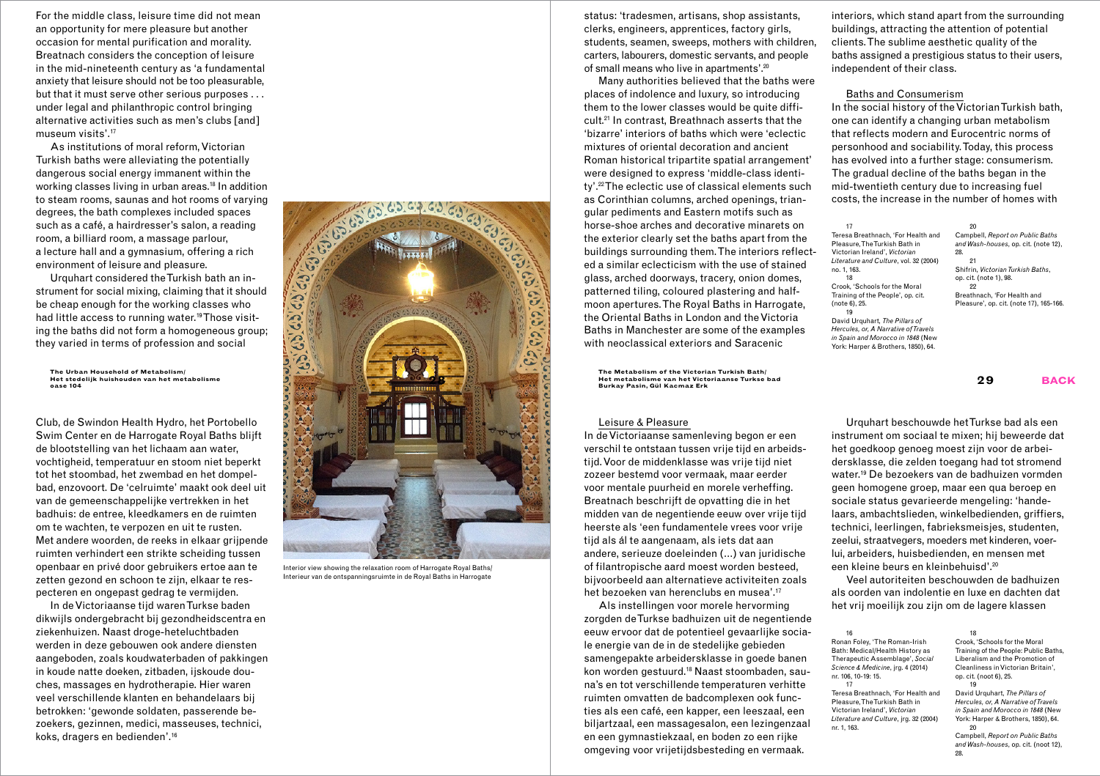For the middle class, leisure time did not mean an opportunity for mere pleasure but another occasion for mental purification and morality. Breatnach considers the conception of leisure in the mid-nineteenth century as 'a fundamental anxiety that leisure should not be too pleasurable, but that it must serve other serious purposes . . . under legal and philanthropic control bringing alternative activities such as men's clubs [and] museum visits'.17

As institutions of moral reform, Victorian Turkish baths were alleviating the potentially dangerous social energy immanent within the working classes living in urban areas.18 In addition to steam rooms, saunas and hot rooms of varying degrees, the bath complexes included spaces such as a café, a hairdresser's salon, a reading room, a billiard room, a massage parlour, a lecture hall and a gymnasium, offering a rich environment of leisure and pleasure.

Urquhart considered the Turkish bath an instrument for social mixing, claiming that it should be cheap enough for the working classes who had little access to running water.<sup>19</sup> Those visiting the baths did not form a homogeneous group; they varied in terms of profession and social

**The Urban Household of Metabolism/ Het stedelijk huishouden van het metabolisme**

Club, de Swindon Health Hydro, het Portobello Swim Center en de Harrogate Royal Baths blijft de blootstelling van het lichaam aan water, vochtigheid, temperatuur en stoom niet beperkt tot het stoombad, het zwembad en het dompelbad, enzovoort. De 'celruimte' maakt ook deel uit van de gemeenschappelijke vertrekken in het badhuis: de entree, kleedkamers en de ruimten om te wachten, te verpozen en uit te rusten. Met andere woorden, de reeks in elkaar grijpende ruimten verhindert een strikte scheiding tussen openbaar en privé door gebruikers ertoe aan te zetten gezond en schoon te zijn, elkaar te respecteren en ongepast gedrag te vermijden.

In de Victoriaanse tijd waren Turkse baden dikwijls ondergebracht bij gezondheidscentra en ziekenhuizen. Naast droge-heteluchtbaden werden in deze gebouwen ook andere diensten aangeboden, zoals koudwaterbaden of pakkingen in koude natte doeken, zitbaden, ijskoude douches, massages en hydrotherapie. Hier waren veel verschillende klanten en behandelaars bij betrokken: 'gewonde soldaten, passerende bezoekers, gezinnen, medici, masseuses, technici, koks, dragers en bedienden'.16



Interior view showing the relaxation room of Harrogate Royal Baths Interieur van de ontspanningsruimte in de Royal Baths in Harrogate

status: 'tradesmen, artisans, shop assistants, clerks, engineers, apprentices, factory girls, students, seamen, sweeps, mothers with children, carters, labourers, domestic servants, and people of small means who live in apartments'.20

Many authorities believed that the baths were places of indolence and luxury, so introducing them to the lower classes would be quite difficult.21 In contrast, Breathnach asserts that the 'bizarre' interiors of baths which were 'eclectic mixtures of oriental decoration and ancient Roman historical tripartite spatial arrangement' were designed to express 'middle-class identity'.22 The eclectic use of classical elements such as Corinthian columns, arched openings, triangular pediments and Eastern motifs such as horse-shoe arches and decorative minarets on the exterior clearly set the baths apart from the buildings surrounding them. The interiors reflected a similar eclecticism with the use of stained glass, arched doorways, tracery, onion domes, patterned tiling, coloured plastering and halfmoon apertures. The Royal Baths in Harrogate, the Oriental Baths in London and the Victoria Baths in Manchester are some of the examples with neoclassical exteriors and Saracenic

**28 <b>Participal Properties** The Metabolism of the Victorian Turkish Bath/<br> **Het metabolisme van het Victoriaanse Turkse bad**<br> **Het metabolisme van het Victoriaanse Turkse bad Burkay Pasin, Gül Kacmaz Erk**

# Leisure & Pleasure

In de Victoriaanse samenleving begon er een verschil te ontstaan tussen vrije tijd en arbeidstijd. Voor de middenklasse was vrije tijd niet zozeer bestemd voor vermaak, maar eerder voor mentale puurheid en morele verheffing. Breatnach beschrijft de opvatting die in het midden van de negentiende eeuw over vrije tijd heerste als 'een fundamentele vrees voor vrije tijd als ál te aangenaam, als iets dat aan andere, serieuze doeleinden (…) van juridische of filantropische aard moest worden besteed, bijvoorbeeld aan alternatieve activiteiten zoals het bezoeken van herenclubs en musea'.17

Als instellingen voor morele hervorming zorgden de Turkse badhuizen uit de negentiende eeuw ervoor dat de potentieel gevaarlijke sociale energie van de in de stedelijke gebieden samengepakte arbeidersklasse in goede banen kon worden gestuurd.18 Naast stoombaden, sauna's en tot verschillende temperaturen verhitte ruimten omvatten de badcomplexen ook functies als een café, een kapper, een leeszaal, een biljartzaal, een massagesalon, een lezingenzaal en een gymnastiekzaal, en boden zo een rijke omgeving voor vrijetijdsbesteding en vermaak.

interiors, which stand apart from the surrounding buildings, attracting the attention of potential clients. The sublime aesthetic quality of the baths assigned a prestigious status to their users, independent of their class.

#### Baths and Consumerism

In the social history of the Victorian Turkish bath, one can identify a changing urban metabolism that reflects modern and Eurocentric norms of personhood and sociability. Today, this process has evolved into a further stage: consumerism. The gradual decline of the baths began in the mid-twentieth century due to increasing fuel costs, the increase in the number of homes with

| 17                                     | 20                                      |
|----------------------------------------|-----------------------------------------|
| Teresa Breathnach, 'For Health and     | Campbell, Report on Public Baths        |
| Pleasure. The Turkish Bath in          | and Wash-houses, op. cit. (note 12),    |
| Victorian Ireland', Victorian          | 28.                                     |
| Literature and Culture, vol. 32 (2004) | 21                                      |
| no. 1, 163.                            | Shifrin, Victorian Turkish Baths.       |
| 18                                     | op. cit. (note 1), 98.                  |
| Crook, 'Schools for the Moral          | 22                                      |
| Training of the People', op. cit.      | Breathnach, 'For Health and             |
| (note 6), 25.                          | Pleasure', op. cit. (note 17), 165-166. |
| 19                                     |                                         |
| David Urguhart, The Pillars of         |                                         |
| Hercules, or, A Narrative of Travels   |                                         |
| in Spain and Morocco in 1848 (New      |                                         |
| York: Harper & Brothers, 1850), 64.    |                                         |
|                                        |                                         |

Urquhart beschouwde het Turkse bad als een instrument om sociaal te mixen; hij beweerde dat het goedkoop genoeg moest zijn voor de arbeidersklasse, die zelden toegang had tot stromend water.19 De bezoekers van de badhuizen vormden geen homogene groep, maar een qua beroep en sociale status gevarieerde mengeling: 'handelaars, ambachtslieden, winkelbedienden, griffiers, technici, leerlingen, fabrieksmeisjes, studenten, zeelui, straatvegers, moeders met kinderen, voerlui, arbeiders, huisbedienden, en mensen met een kleine beurs en kleinbehuisd'.20

Veel autoriteiten beschouwden de badhuizen als oorden van indolentie en luxe en dachten dat het vrij moeilijk zou zijn om de lagere klassen

nr. 1, 163.

18 Crook, 'Schools for the Moral Training of the People: Public Baths, Liberalism and the Promotion of Cleanliness in Victorian Britain', op. cit. (noot 6), 25. 19 David Urquhart, *The Pillars of Hercules, or, A Narrative of Travels in Spain and Morocco in 1848* (New York: Harper & Brothers, 1850), 64. 20

Campbell, *Report on Public Baths and Wash-houses*, op. cit. (noot 12), 28.